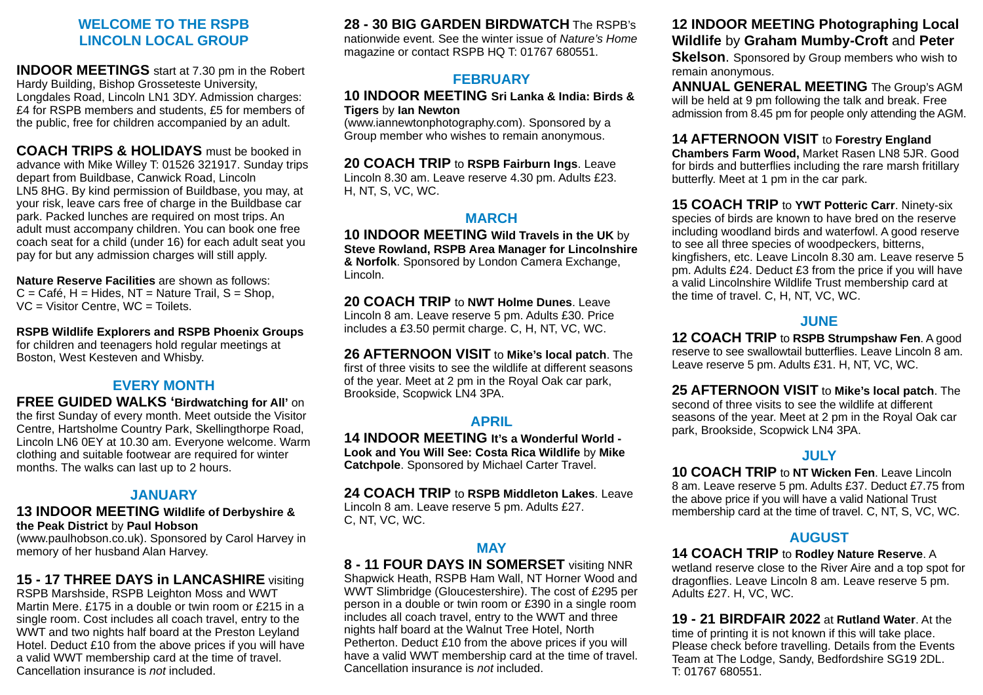#### **WELCOME TO THE RSPB LINCOLN LOCAL GROUP**

**INDOOR MEETINGS** start at 7.30 pm in the Robert Hardy Building, Bishop Grosseteste University, Longdales Road, Lincoln LN1 3DY. Admission charges: £4 for RSPB members and students, £5 for members of the public, free for children accompanied by an adult.

**COACH TRIPS & HOLIDAYS** must be booked in advance with Mike Willey T: 01526 321917. Sunday trips depart from Buildbase, Canwick Road, Lincoln LN5 8HG. By kind permission of Buildbase, you may, at your risk, leave cars free of charge in the Buildbase car park. Packed lunches are required on most trips. An adult must accompany children. You can book one free coach seat for a child (under 16) for each adult seat you pay for but any admission charges will still apply.

**Nature Reserve Facilities** are shown as follows:  $C = \text{Caf\'e}$ ,  $H = \text{Hides}$ ,  $NT = \text{Nature Train}$ ,  $S = \text{Shop}$ , VC = Visitor Centre, WC = Toilets.

**RSPB Wildlife Explorers and RSPB Phoenix Groups**  for children and teenagers hold regular meetings at Boston, West Kesteven and Whisby.

## **EVERY MONTH**

**FREE GUIDED WALKS 'Birdwatching for All'** on the first Sunday of every month. Meet outside the Visitor Centre, Hartsholme Country Park, Skellingthorpe Road, Lincoln LN6 0EY at 10.30 am. Everyone welcome. Warm clothing and suitable footwear are required for winter months. The walks can last up to 2 hours.

## **JANUARY**

#### **13 INDOOR MEETING Wildlife of Derbyshire & the Peak District** by **Paul Hobson**

(www.paulhobson.co.uk). Sponsored by Carol Harvey in memory of her husband Alan Harvey.

# **15 - 17 THREE DAYS in LANCASHIRE** visiting

RSPB Marshside, RSPB Leighton Moss and WWT Martin Mere. £175 in a double or twin room or £215 in a single room. Cost includes all coach travel, entry to the WWT and two nights half board at the Preston Leyland Hotel. Deduct £10 from the above prices if you will have a valid WWT membership card at the time of travel. Cancellation insurance is not included.

**28 - 30 BIG GARDEN BIRDWATCH** The RSPB's

nationwide event. See the winter issue of Nature's Home magazine or contact RSPB HQ T: 01767 680551.

# **FEBRUARY**

#### **10 INDOOR MEETING Sri Lanka & India: Birds & Tigers** by **Ian Newton**

(www.iannewtonphotography.com). Sponsored by a Group member who wishes to remain anonymous.

**20 COACH TRIP** to **RSPB Fairburn Ings**. Leave Lincoln 8.30 am. Leave reserve 4.30 pm. Adults £23. H, NT, S, VC, WC.

## **MARCH**

**10 INDOOR MEETING Wild Travels in the UK** by **Steve Rowland, RSPB Area Manager for Lincolnshire & Norfolk**. Sponsored by London Camera Exchange, Lincoln.

**20 COACH TRIP** to **NWT Holme Dunes**. Leave Lincoln 8 am. Leave reserve 5 pm. Adults £30. Price includes a £3.50 permit charge. C, H, NT, VC, WC.

**26 AFTERNOON VISIT** to **Mike's local patch**. The first of three visits to see the wildlife at different seasons of the year. Meet at 2 pm in the Royal Oak car park, Brookside, Scopwick LN4 3PA.

## **APRIL**

**14 INDOOR MEETING It's a Wonderful World - Look and You Will See: Costa Rica Wildlife** by **Mike Catchpole**. Sponsored by Michael Carter Travel.

**24 COACH TRIP** to **RSPB Middleton Lakes**. Leave Lincoln 8 am. Leave reserve 5 pm. Adults £27. C, NT, VC, WC.

## **MAY**

**8 - 11 FOUR DAYS IN SOMERSET** visiting NNR Shapwick Heath, RSPB Ham Wall, NT Horner Wood and WWT Slimbridge (Gloucestershire). The cost of £295 per person in a double or twin room or £390 in a single room includes all coach travel, entry to the WWT and three nights half board at the Walnut Tree Hotel, North Petherton. Deduct £10 from the above prices if you will have a valid WWT membership card at the time of travel. Cancellation insurance is not included.

## **12 INDOOR MEETING Photographing Local Wildlife** by **Graham Mumby-Croft** and **Peter**

**Skelson**. Sponsored by Group members who wish to remain anonymous.

**ANNUAL GENERAL MEETING** The Group's AGM will be held at 9 pm following the talk and break. Free admission from 8.45 pm for people only attending the AGM.

## **14 AFTERNOON VISIT** to **Forestry England**

**Chambers Farm Wood,** Market Rasen LN8 5JR. Good for birds and butterflies including the rare marsh fritillary butterfly. Meet at 1 pm in the car park.

**15 COACH TRIP** to **YWT Potteric Carr**. Ninety-six species of birds are known to have bred on the reserve including woodland birds and waterfowl. A good reserve to see all three species of woodpeckers, bitterns, kingfishers, etc. Leave Lincoln 8.30 am. Leave reserve 5 pm. Adults £24. Deduct £3 from the price if you will have a valid Lincolnshire Wildlife Trust membership card at the time of travel. C, H, NT, VC, WC.

# **JUNE**

**12 COACH TRIP** to **RSPB Strumpshaw Fen**. A good reserve to see swallowtail butterflies. Leave Lincoln 8 am. Leave reserve 5 pm. Adults £31. H, NT, VC, WC.

**25 AFTERNOON VISIT** to **Mike's local patch**. The second of three visits to see the wildlife at different seasons of the year. Meet at 2 pm in the Royal Oak car park, Brookside, Scopwick LN4 3PA.

## **JULY**

**10 COACH TRIP** to **NT Wicken Fen**. Leave Lincoln 8 am. Leave reserve 5 pm. Adults £37. Deduct £7.75 from the above price if you will have a valid National Trust membership card at the time of travel. C, NT, S, VC, WC.

# **AUGUST**

**14 COACH TRIP** to **Rodley Nature Reserve**. A

wetland reserve close to the River Aire and a top spot for dragonflies. Leave Lincoln 8 am. Leave reserve 5 pm. Adults £27. H, VC, WC.

**19 - 21 BIRDFAIR 2022** at **Rutland Water**. At the time of printing it is not known if this will take place. Please check before travelling. Details from the Events Team at The Lodge, Sandy, Bedfordshire SG19 2DL. T: 01767 680551.